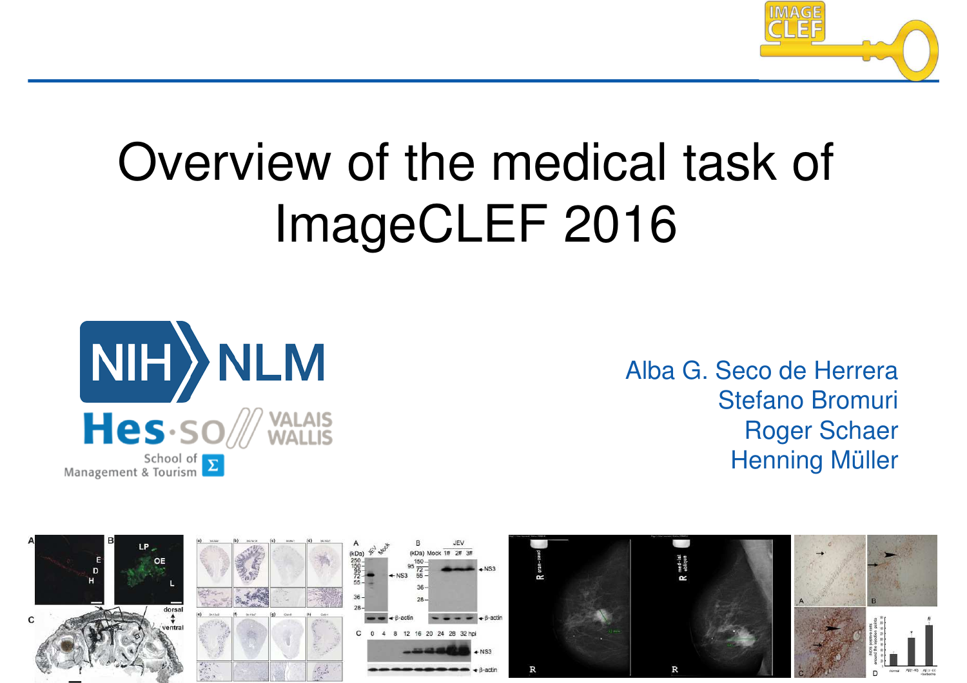

# Overview of the medical task of ImageCLEF 2016



Alba G. Seco de Herrera Stefano Bromuri Roger Schaer Henning Müller

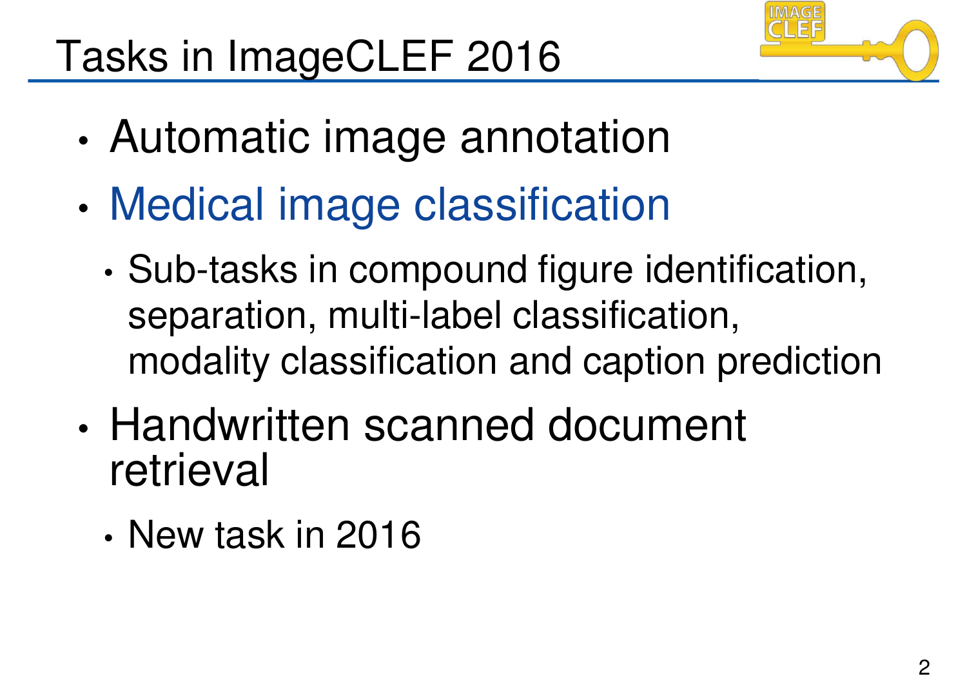# Tasks in ImageCLEF 2016



- Automatic image annotation
- Medical image classification
	- Sub-tasks in compound figure identification, separation, multi-label classification, modality classification and caption prediction
- Handwritten scanned document retrieval
	- New task in 2016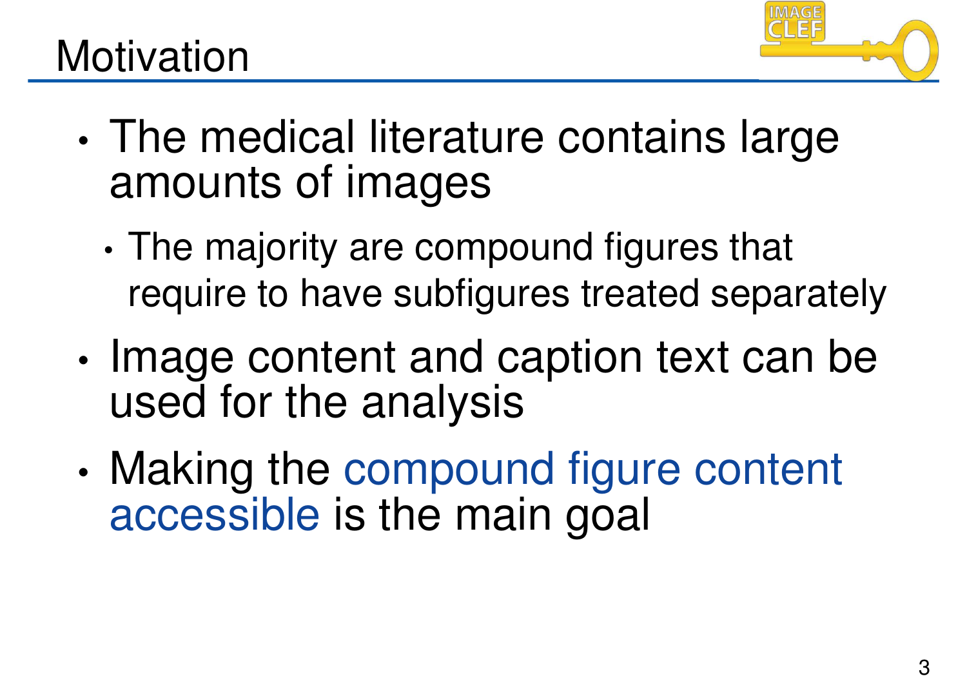

#### **Motivation**

- The medical literature contains large amounts of images
	- The majority are compound figures that require to have subfigures treated separately
- Image content and caption text can be used for the analysis
- Making the compound figure content accessible is the main goal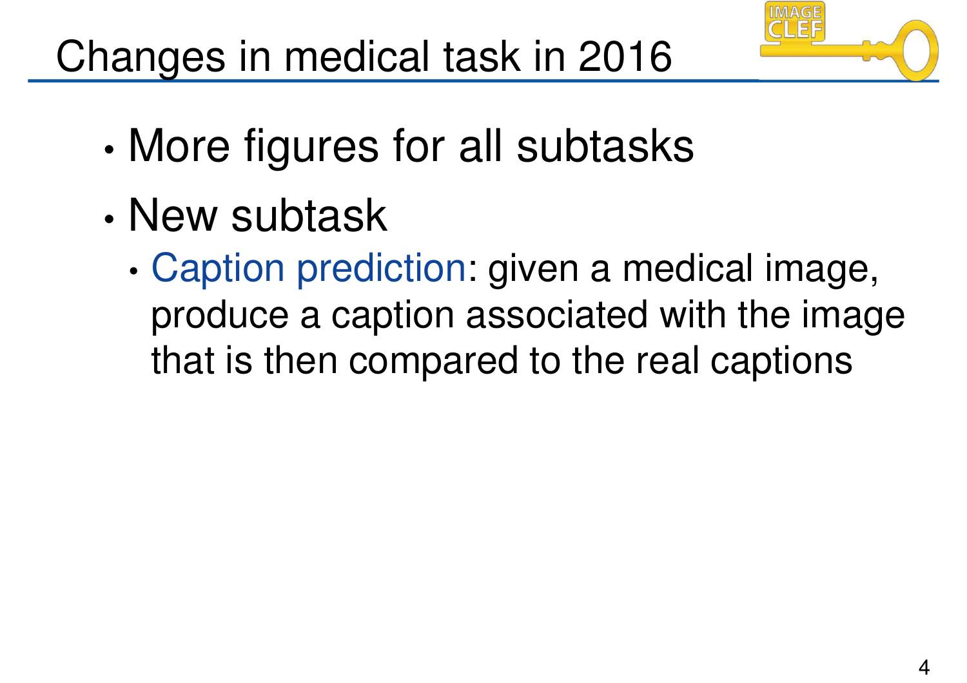

- More figures for all subtasks
- New subtask
	- Caption prediction: given a medical image, produce a caption associated with the image that is then compared to the real captions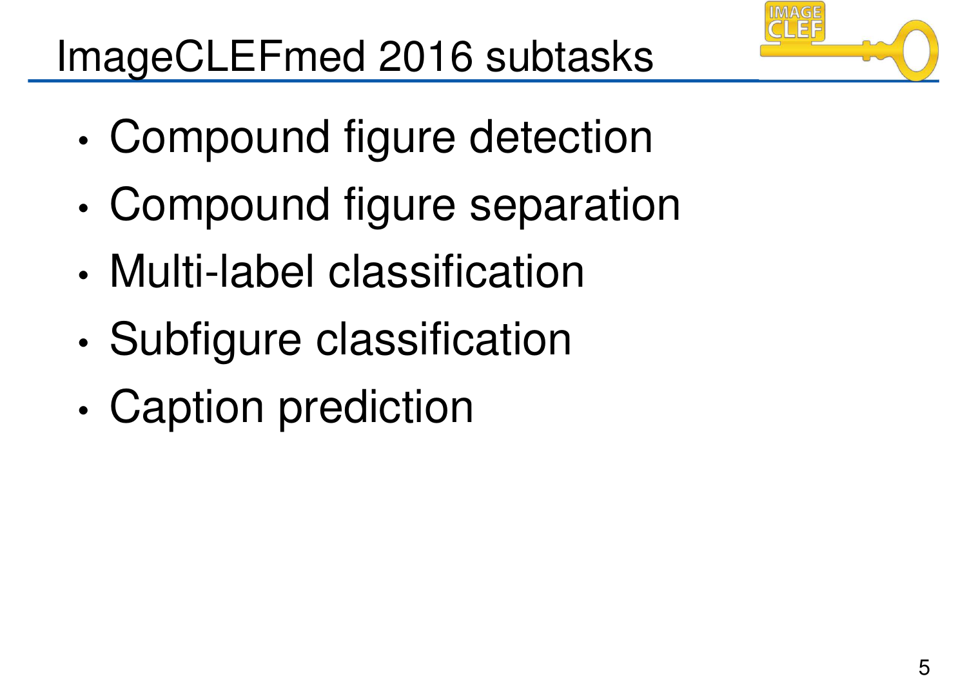

# ImageCLEFmed 2016 subtasks

- Compound figure detection
- Compound figure separation
- Multi-label classification
- Subfigure classification
- Caption prediction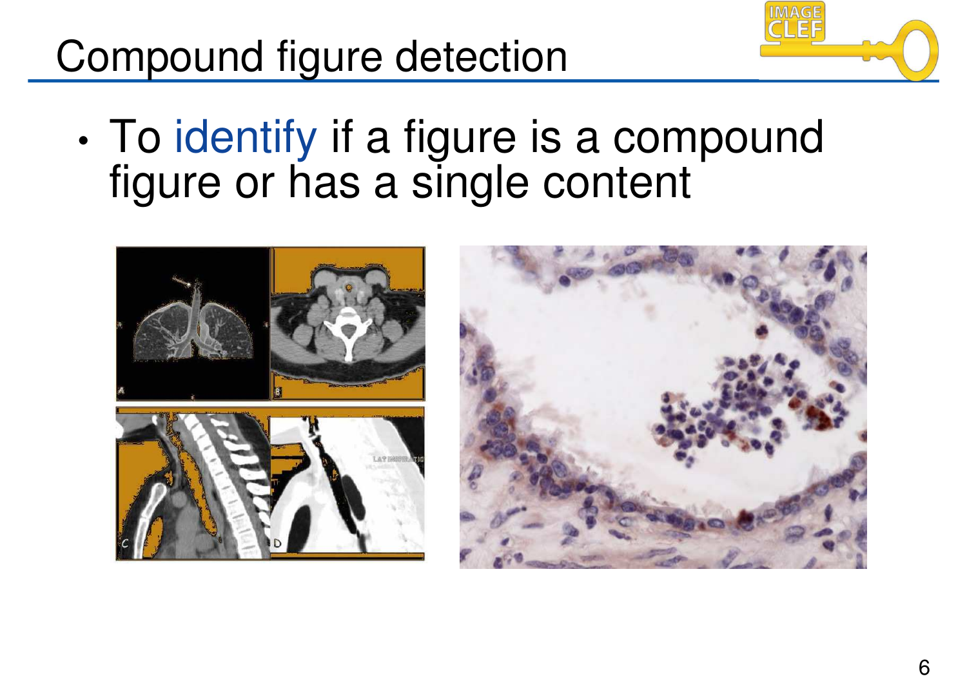## Compound figure detection



• To identify if a figure is a compound figure or has a single content



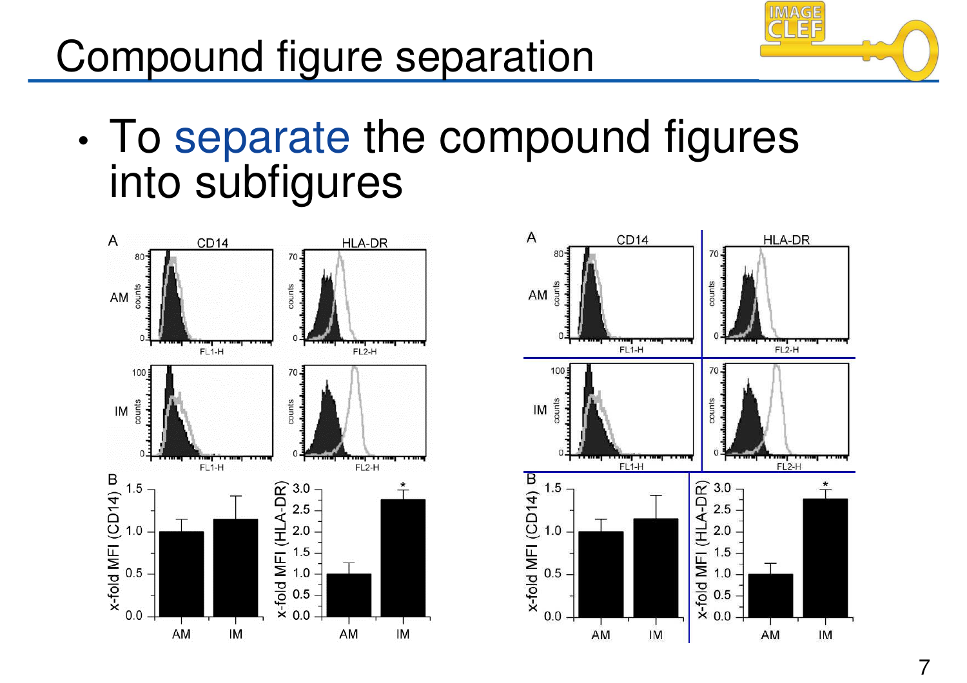### Compound figure separation



• To separate the compound figures into subfigures



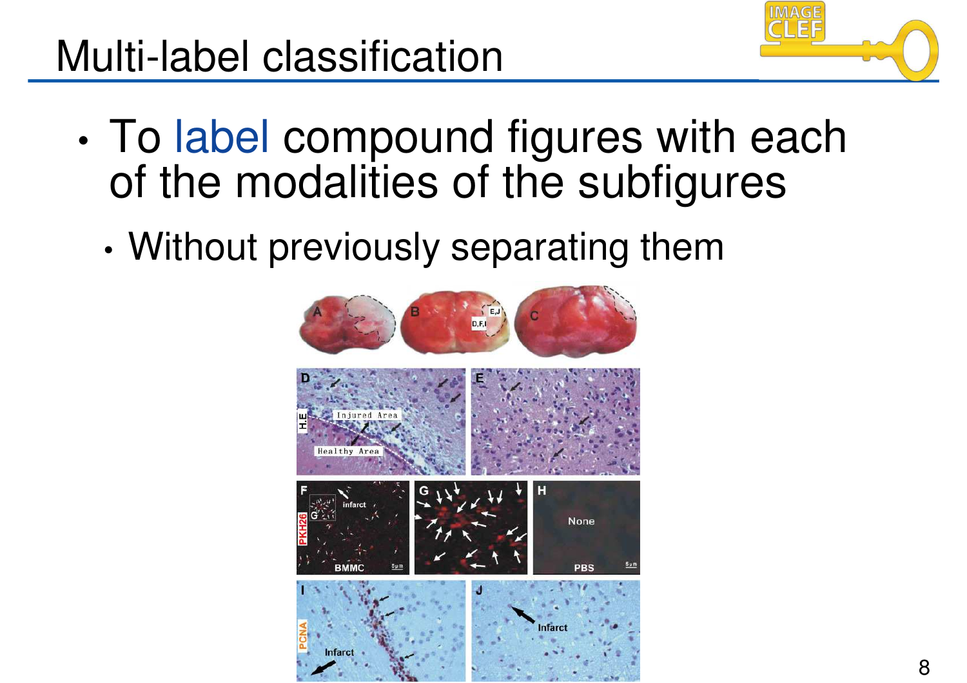## Multi-label classification



- To label compound figures with each of the modalities of the subfigures
	- Without previously separating them

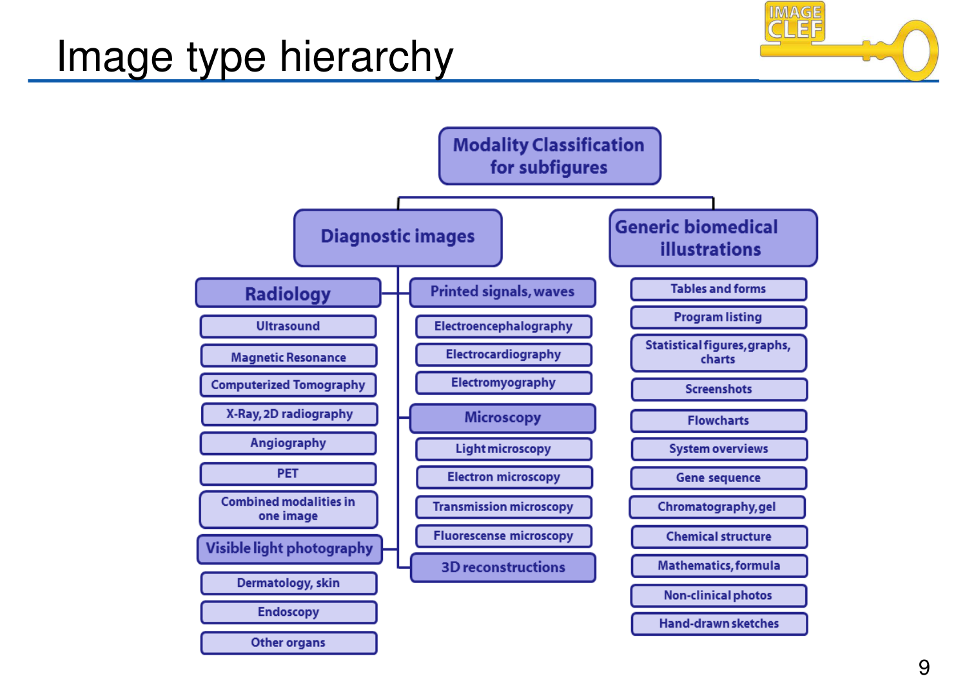#### Image type hierarchy



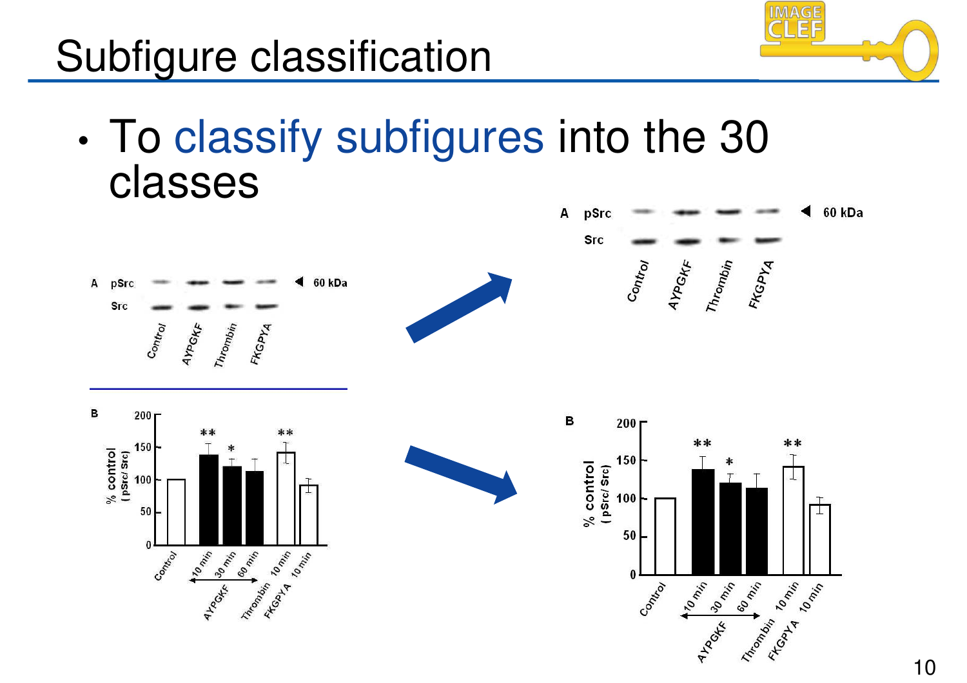

### Subfigure classification

• To classify subfigures into the 30 classes

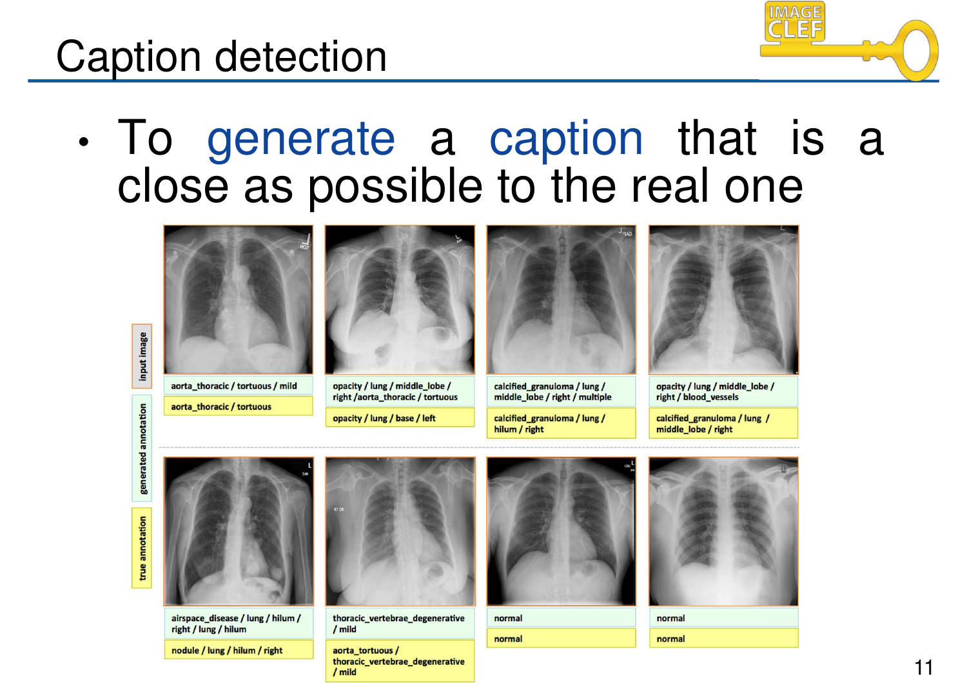#### Caption detection

- 
- To generate a caption that is a close as possible to the real one



aorta\_thoracic / tortuous / mild

aorta thoracic / tortuous



opacity / lung / middle lobe / right /aorta\_thoracic / tortuous

opacity / lung / base / left



calcified granuloma / lung / middle lobe / right / multiple

calcified granuloma / lung / hilum / right



opacity / lung / middle lobe / right / blood vessels

calcified granuloma / lung / middle lobe / right

input image



airspace\_disease / lung / hilum / right / lung / hilum

nodule / lung / hilum / right



thoracic\_vertebrae\_degenerative / mild

aorta tortuous / thoracic\_vertebrae\_degenerative  $/$  mild



normal normal



normal normal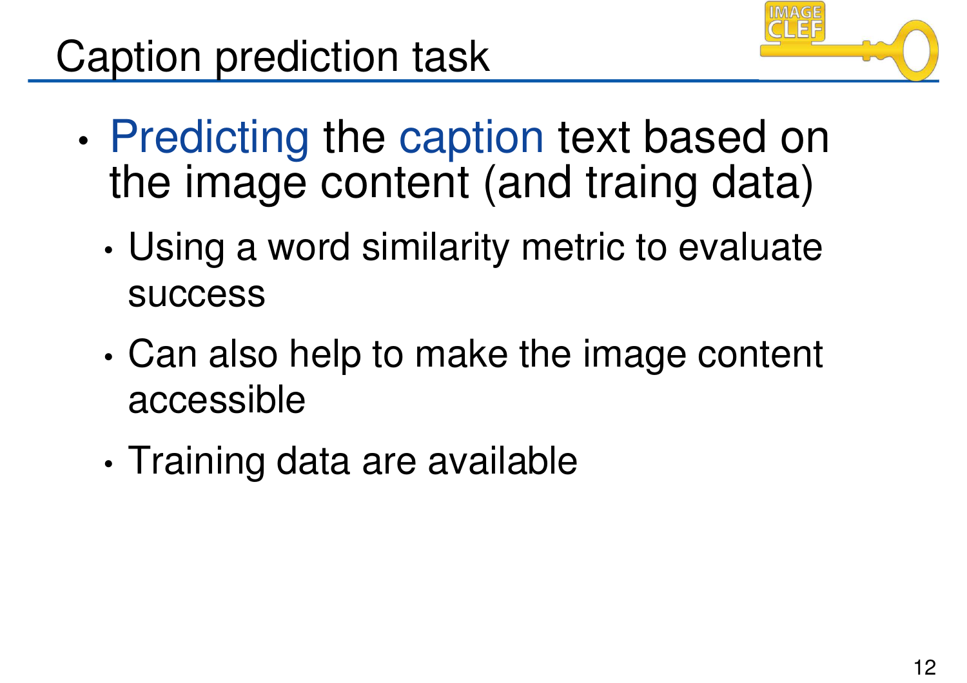

- Predicting the caption text based on the image content (and traing data)
	- Using a word similarity metric to evaluate success
	- Can also help to make the image content accessible
	- Training data are available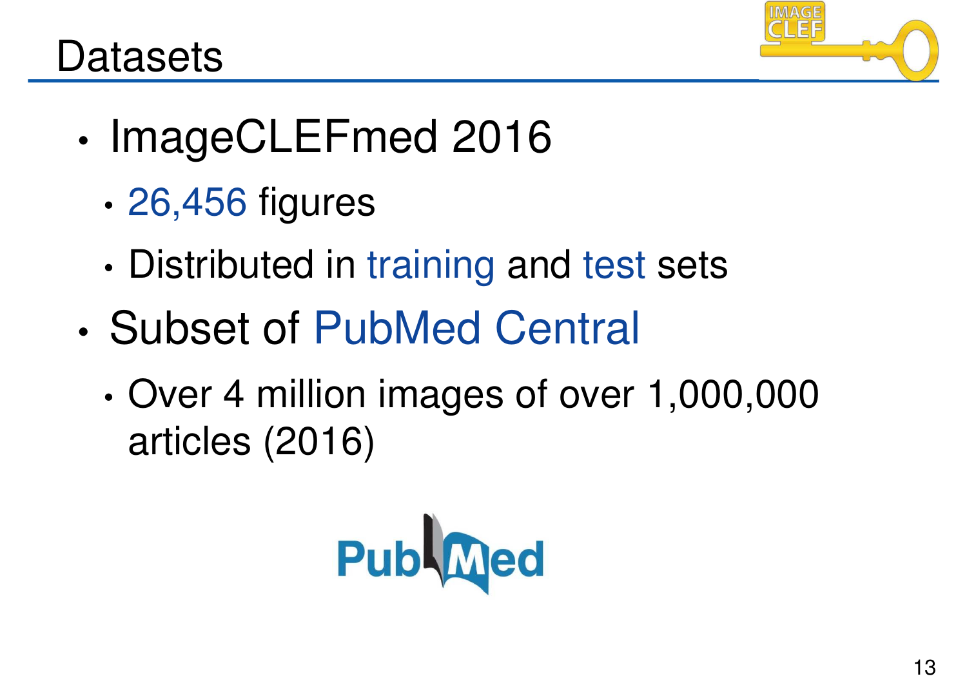

#### **Datasets**

- ImageCLEFmed 2016
	- 26,456 figures
	- Distributed in training and test sets
- Subset of PubMed Central
	- Over 4 million images of over 1,000,000 articles (2016)

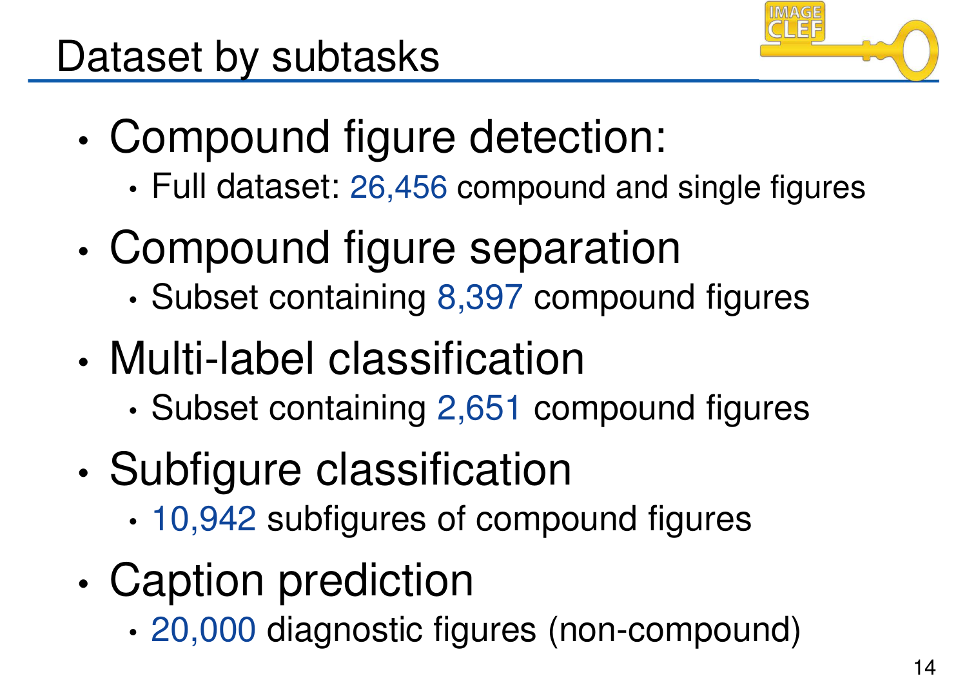

- Compound figure detection:
	- Full dataset: 26,456 compound and single figures
- Compound figure separation
	- Subset containing 8,397 compound figures
- Multi-label classification
	- Subset containing 2,651 compound figures
- Subfigure classification
	- 10,942 subfigures of compound figures
- Caption prediction
	- 20,000 diagnostic figures (non-compound)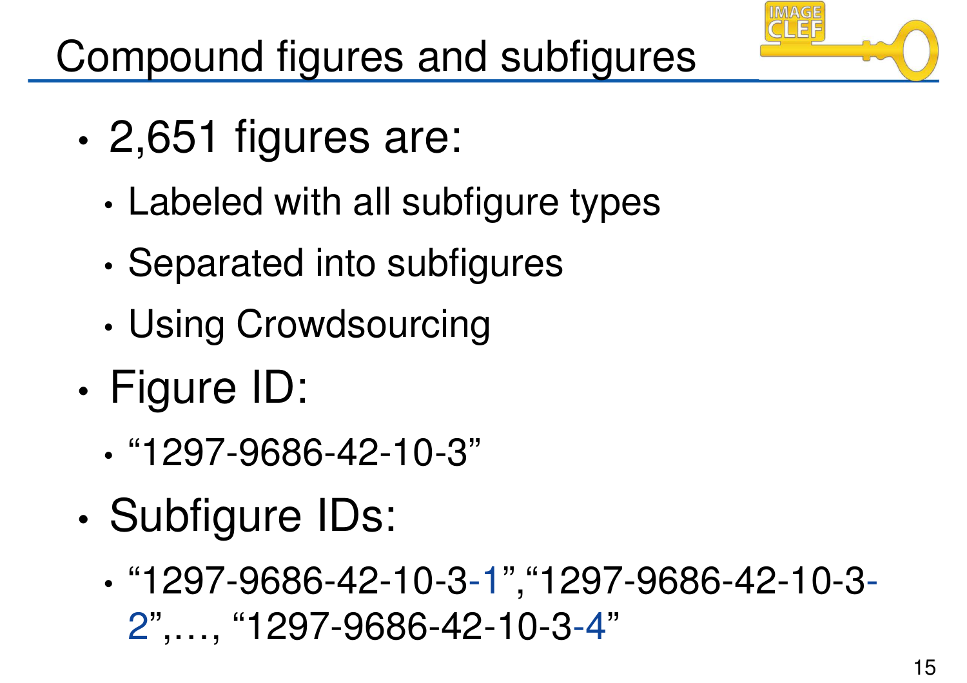

- 2,651 figures are:
	- Labeled with all subfigure types
	- Separated into subfigures
	- Using Crowdsourcing
- Figure ID:
	- "1297-9686-42-10-3"
- Subfigure IDs:
	- "1297-9686-42-10-3-1","1297-9686-42-10-3- 2",…, "1297-9686-42-10-3-4"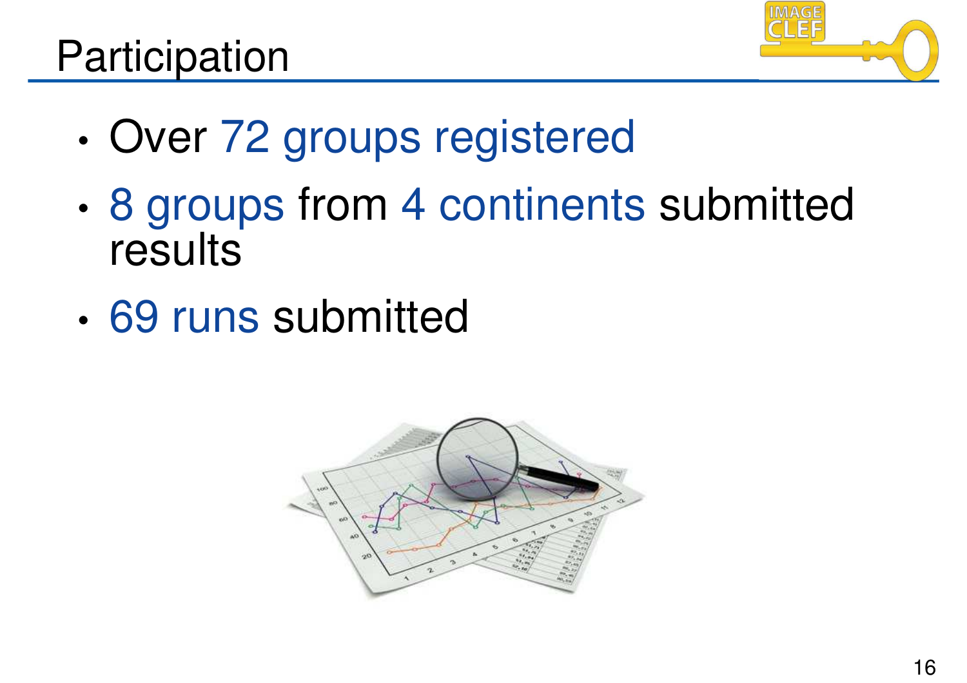#### Participation



- Over 72 groups registered
- 8 groups from 4 continents submitted results
- 69 runs submitted

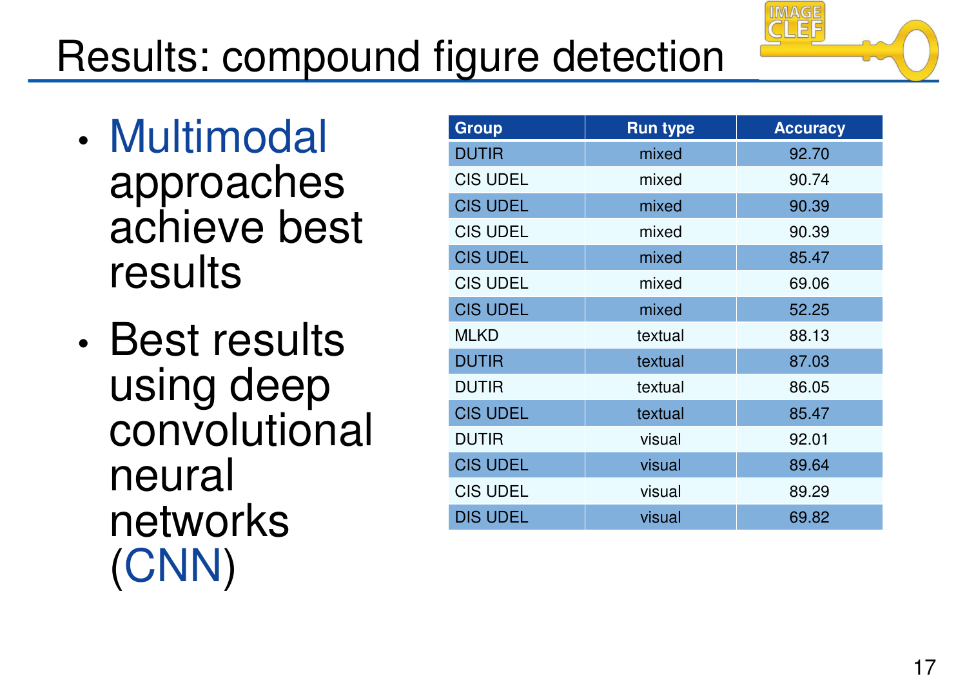# Results: compound figure detection

- Multimodal approaches achieve best results
- Best results using deep convolutional neural networks (CNN)

| Group           | <b>Run type</b> | <b>Accuracy</b> |
|-----------------|-----------------|-----------------|
| <b>DUTIR</b>    | mixed           | 92.70           |
| <b>CIS UDEL</b> | mixed           | 90.74           |
| <b>CIS UDEL</b> | mixed           | 90.39           |
| <b>CIS UDEL</b> | mixed           | 90.39           |
| <b>CIS UDEL</b> | mixed           | 85.47           |
| <b>CIS UDEL</b> | mixed           | 69.06           |
| <b>CIS UDEL</b> | mixed           | 52.25           |
| <b>MLKD</b>     | textual         | 88.13           |
| <b>DUTIR</b>    | textual         | 87.03           |
| <b>DUTIR</b>    | textual         | 86.05           |
| <b>CIS UDEL</b> | textual         | 85.47           |
| <b>DUTIR</b>    | visual          | 92.01           |
| <b>CIS UDEL</b> | visual          | 89.64           |
| <b>CIS UDEL</b> | visual          | 89.29           |
| <b>DIS UDEL</b> | visual          | 69.82           |

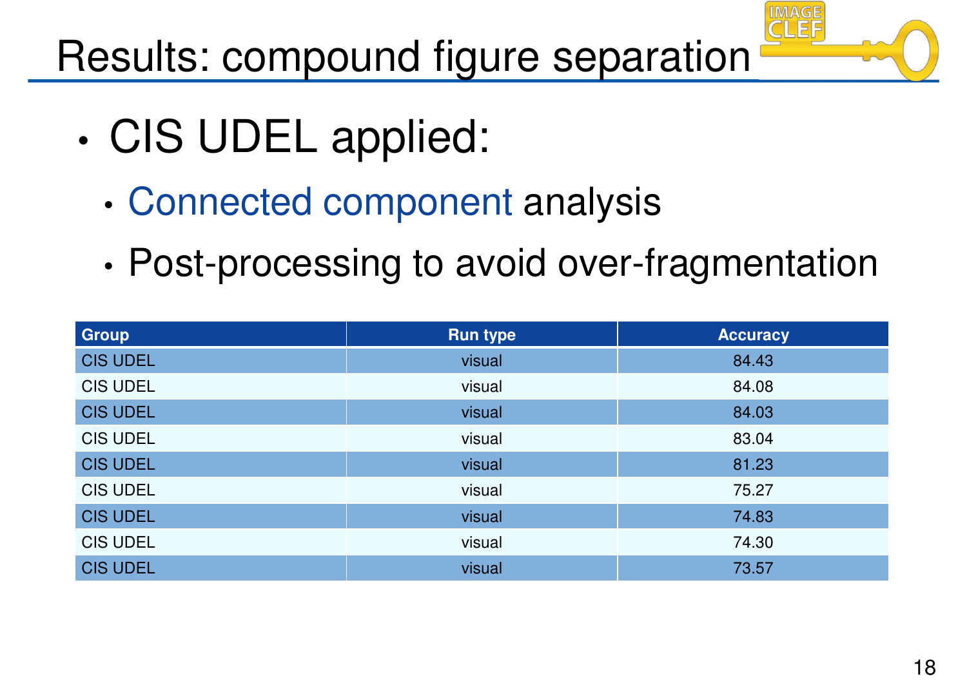Results: compound figure separation

- CIS UDEL applied:
	- Connected component analysis
	- Post-processing to avoid over-fragmentation

| <b>Group</b>    | <b>Run type</b> | <b>Accuracy</b> |
|-----------------|-----------------|-----------------|
| <b>CIS UDEL</b> | visual          | 84.43           |
| <b>CIS UDEL</b> | visual          | 84.08           |
| <b>CIS UDEL</b> | visual          | 84.03           |
| <b>CIS UDEL</b> | visual          | 83.04           |
| <b>CIS UDEL</b> | visual          | 81.23           |
| <b>CIS UDEL</b> | visual          | 75.27           |
| <b>CIS UDEL</b> | visual          | 74.83           |
| <b>CIS UDEL</b> | visual          | 74.30           |
| <b>CIS UDEL</b> | visual          | 73.57           |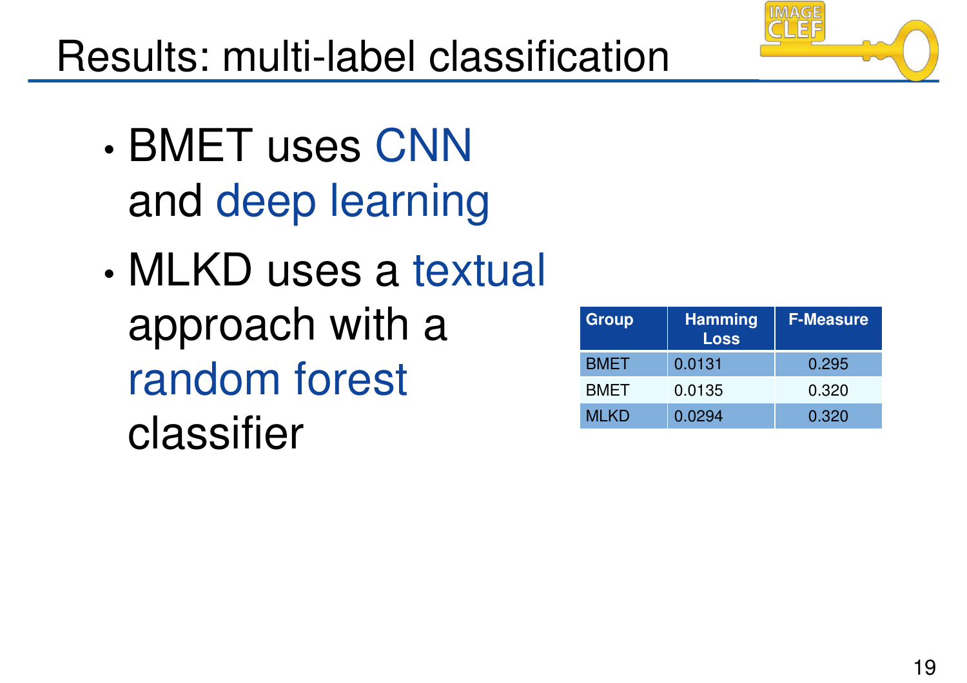### Results: multi-label classification

- BMET uses CNN and deep learning
- MLKD uses a textual approach with a random forest classifier

| Group       | <b>Hamming</b><br><b>Loss</b> | <b>F-Measure</b> |
|-------------|-------------------------------|------------------|
| <b>BMET</b> | 0.0131                        | 0.295            |
| <b>BMET</b> | 0.0135                        | 0.320            |
| <b>MLKD</b> | 0.0294                        | 0.320            |

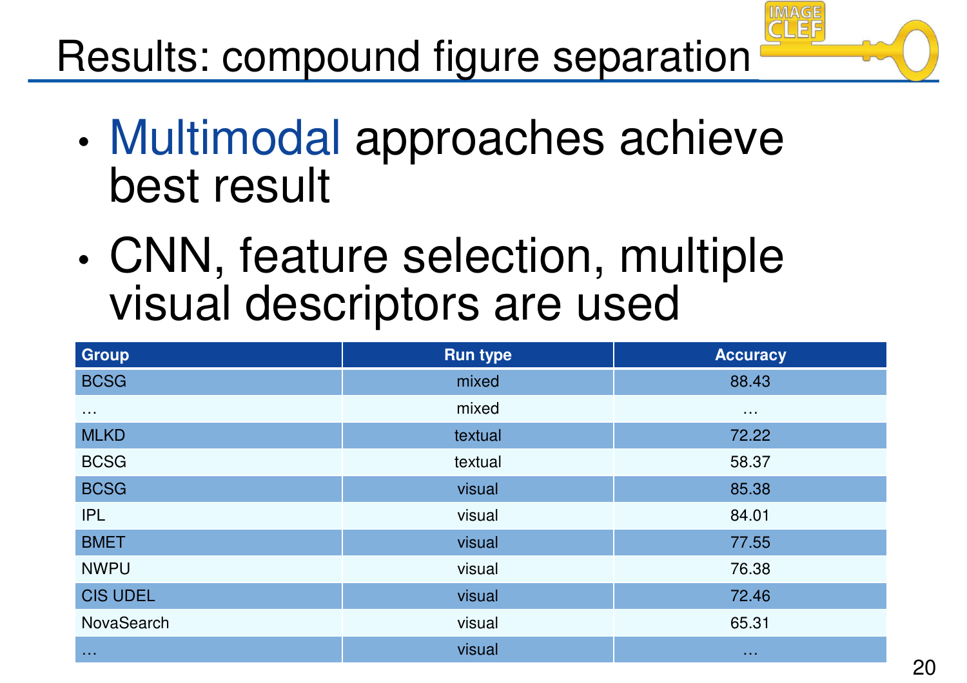Results: compound figure separation

- Multimodal approaches achieve best result
- CNN, feature selection, multiple visual descriptors are used

| Group                 | <b>Run type</b> | <b>Accuracy</b> |
|-----------------------|-----------------|-----------------|
| <b>BCSG</b>           | mixed           | 88.43           |
| $\sim 100$            | mixed           | $\sim 100$      |
| <b>MLKD</b>           | textual         | 72.22           |
| <b>BCSG</b>           | textual         | 58.37           |
| <b>BCSG</b>           | visual          | 85.38           |
| <b>IPL</b>            | visual          | 84.01           |
| <b>BMET</b>           | visual          | 77.55           |
| <b>NWPU</b>           | visual          | 76.38           |
| <b>CIS UDEL</b>       | visual          | 72.46           |
| NovaSearch            | visual          | 65.31           |
| $\sim 100$ km $^{-1}$ | visual          | $\sim 100$      |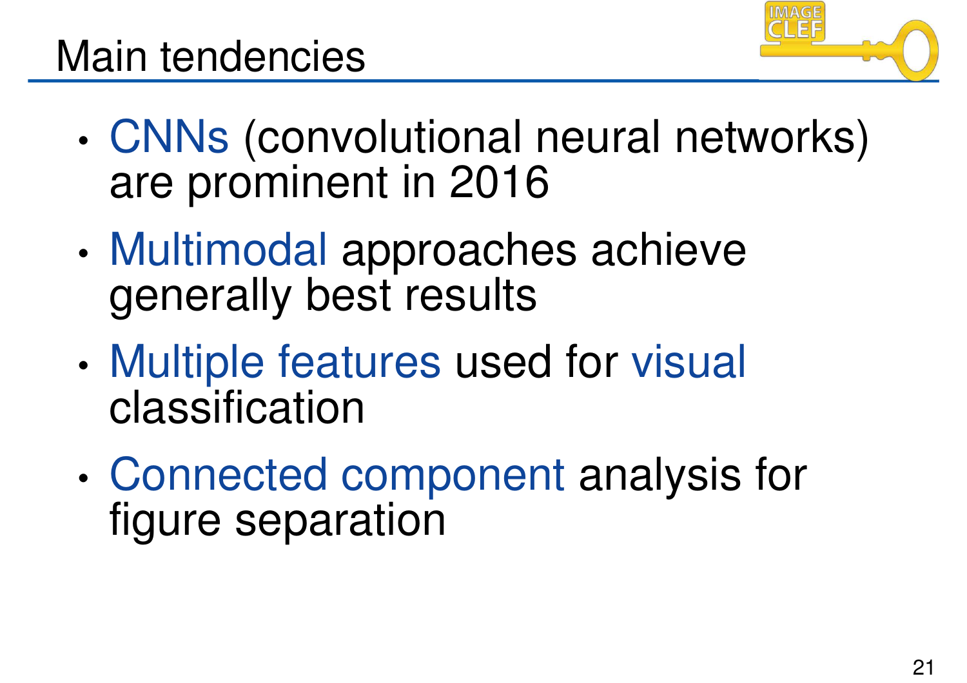

- CNNs (convolutional neural networks) are prominent in 2016
- Multimodal approaches achieve generally best results
- Multiple features used for visual classification
- Connected component analysis for figure separation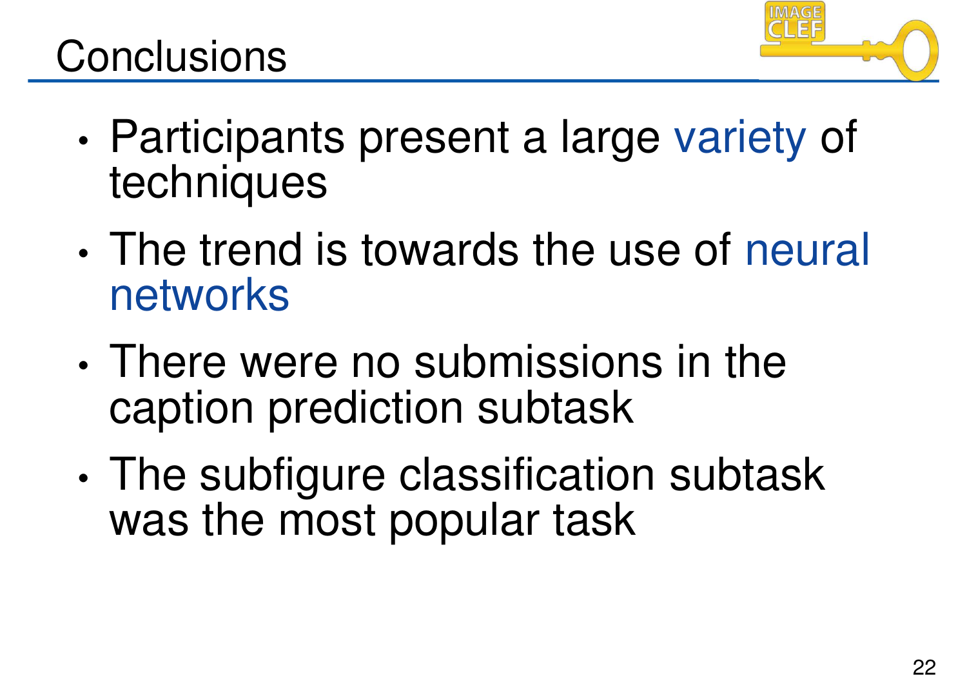

- Participants present a large variety of techniques
- The trend is towards the use of neural networks
- There were no submissions in the caption prediction subtask
- The subfigure classification subtask was the most popular task